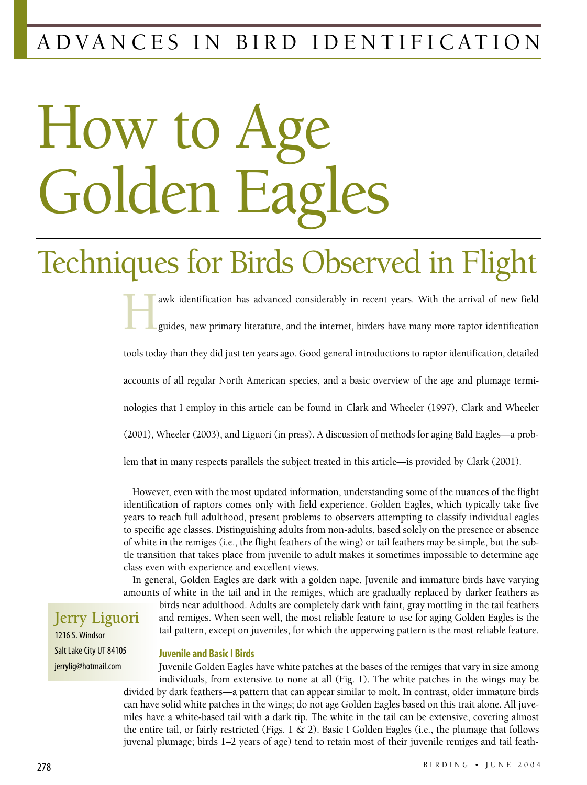### ADVANCES IN BIRD IDENTIFICATION

# How to Golden Eag

## Techniques for Birds Observed in Flight

awk identification has advanced considerably in recent years. With the arrival of new field guides, new primary literature, and the internet, birders have many more raptor identification guides, new primary literature, and the internet, birders have many more raptor identification tools today than they did just ten years ago. Good general introductions to raptor identification, detailed accounts of all regular North American species, and a basic overview of the age and plumage terminologies that I employ in this article can be found in Clark and Wheeler (1997), Clark and Wheeler (2001), Wheeler (2003), and Liguori (in press). A discussion of methods for aging Bald Eagles—a problem that in many respects parallels the subject treated in this article—is provided by Clark (2001).

However, even with the most updated information, understanding some of the nuances of the flight identification of raptors comes only with field experience. Golden Eagles, which typically take five years to reach full adulthood, present problems to observers attempting to classify individual eagles to specific age classes. Distinguishing adults from non-adults, based solely on the presence or absence of white in the remiges (i.e., the flight feathers of the wing) or tail feathers may be simple, but the subtle transition that takes place from juvenile to adult makes it sometimes impossible to determine age class even with experience and excellent views.

In general, Golden Eagles are dark with a golden nape. Juvenile and immature birds have varying amounts of white in the tail and in the remiges, which are gradually replaced by darker feathers as

birds near adulthood. Adults are completely dark with faint, gray mottling in the tail feathers and remiges. When seen well, the most reliable feature to use for aging Golden Eagles is the tail pattern, except on juveniles, for which the upperwing pattern is the most reliable feature.

**Jerry Liguori** 1216 S. Windsor Salt Lake City UT 84105 jerrylig@hotmail.com

#### **Juvenile and Basic I Birds**

Juvenile Golden Eagles have white patches at the bases of the remiges that vary in size among individuals, from extensive to none at all (Fig. 1). The white patches in the wings may be divided by dark feathers—a pattern that can appear similar to molt. In contrast, older immature birds can have solid white patches in the wings; do not age Golden Eagles based on this trait alone. All juveniles have a white-based tail with a dark tip. The white in the tail can be extensive, covering almost the entire tail, or fairly restricted (Figs. 1 & 2). Basic I Golden Eagles (i.e., the plumage that follows juvenal plumage; birds 1–2 years of age) tend to retain most of their juvenile remiges and tail feath-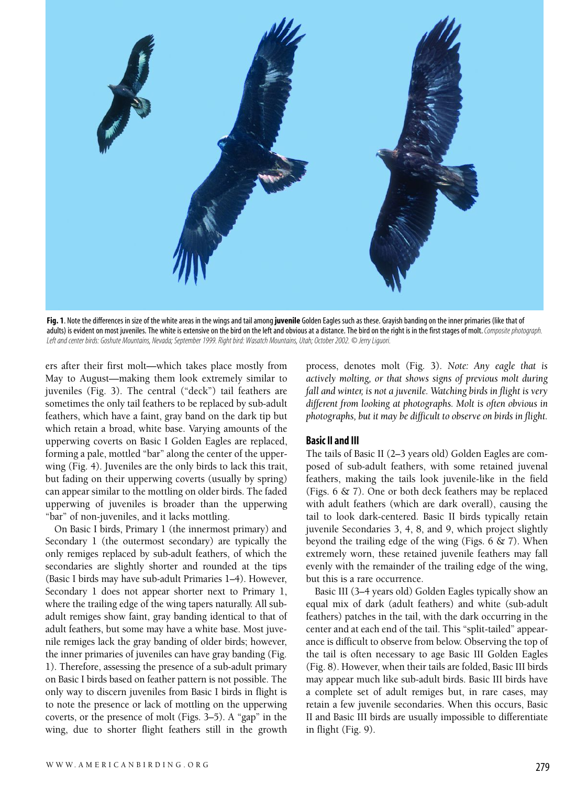

**Fig. 1**. Note the differences in size of the white areas in the wings and tail among **juvenile** Golden Eagles such as these. Grayish banding on the inner primaries (like that of adults) is evident on most juveniles. The white is extensive on the bird on the left and obvious at a distance. The bird on the right is in the first stages of molt. *Composite photograph. Left and center birds: Goshute Mountains, Nevada; September 1999. Right bird: Wasatch Mountains, Utah; October 2002. © Jerry Liguori.*

ers after their first molt—which takes place mostly from May to August—making them look extremely similar to juveniles (Fig. 3). The central ("deck") tail feathers are sometimes the only tail feathers to be replaced by sub-adult feathers, which have a faint, gray band on the dark tip but which retain a broad, white base. Varying amounts of the upperwing coverts on Basic I Golden Eagles are replaced, forming a pale, mottled "bar" along the center of the upperwing (Fig. 4). Juveniles are the only birds to lack this trait, but fading on their upperwing coverts (usually by spring) can appear similar to the mottling on older birds. The faded upperwing of juveniles is broader than the upperwing "bar" of non-juveniles, and it lacks mottling.

On Basic I birds, Primary 1 (the innermost primary) and Secondary 1 (the outermost secondary) are typically the only remiges replaced by sub-adult feathers, of which the secondaries are slightly shorter and rounded at the tips (Basic I birds may have sub-adult Primaries 1–4). However, Secondary 1 does not appear shorter next to Primary 1, where the trailing edge of the wing tapers naturally. All subadult remiges show faint, gray banding identical to that of adult feathers, but some may have a white base. Most juvenile remiges lack the gray banding of older birds; however, the inner primaries of juveniles can have gray banding (Fig. 1). Therefore, assessing the presence of a sub-adult primary on Basic I birds based on feather pattern is not possible. The only way to discern juveniles from Basic I birds in flight is to note the presence or lack of mottling on the upperwing coverts, or the presence of molt (Figs. 3–5). A "gap" in the wing, due to shorter flight feathers still in the growth

process, denotes molt (Fig. 3). *Note: Any eagle that is actively molting, or that shows signs of previous molt during fall and winter, is not a juvenile. Watching birds in flight is very different from looking at photographs. Molt is often obvious in photographs, but it may be difficult to observe on birds in flight.*

#### **Basic II and III**

The tails of Basic II (2–3 years old) Golden Eagles are composed of sub-adult feathers, with some retained juvenal feathers, making the tails look juvenile-like in the field (Figs. 6 & 7). One or both deck feathers may be replaced with adult feathers (which are dark overall), causing the tail to look dark-centered. Basic II birds typically retain juvenile Secondaries 3, 4, 8, and 9, which project slightly beyond the trailing edge of the wing (Figs.  $6 \& 7$ ). When extremely worn, these retained juvenile feathers may fall evenly with the remainder of the trailing edge of the wing, but this is a rare occurrence.

Basic III (3–4 years old) Golden Eagles typically show an equal mix of dark (adult feathers) and white (sub-adult feathers) patches in the tail, with the dark occurring in the center and at each end of the tail. This "split-tailed" appearance is difficult to observe from below. Observing the top of the tail is often necessary to age Basic III Golden Eagles (Fig. 8). However, when their tails are folded, Basic III birds may appear much like sub-adult birds. Basic III birds have a complete set of adult remiges but, in rare cases, may retain a few juvenile secondaries. When this occurs, Basic II and Basic III birds are usually impossible to differentiate in flight (Fig. 9).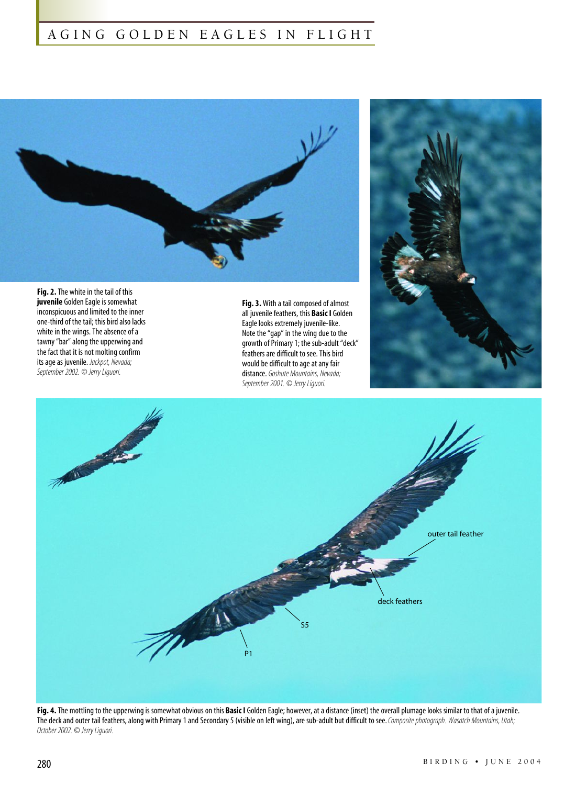#### AGING GOLDEN EAGLES IN FLIGHT



**Fig. 2.**The white in the tail of this **juvenile** Golden Eagle is somewhat inconspicuous and limited to the inner one-third of the tail; this bird also lacks white in the wings. The absence of a tawny "bar" along the upperwing and the fact that it is not molting confirm its age as juvenile. *Jackpot, Nevada; September 2002. © Jerry Liguori.*

**Fig. 3.** With a tail composed of almost all juvenile feathers, this **Basic I** Golden Eagle looks extremely juvenile-like. Note the "gap" in the wing due to the growth of Primary 1; the sub-adult "deck" feathers are difficult to see. This bird would be difficult to age at any fair distance. *Goshute Mountains, Nevada; September 2001. © Jerry Liguori.* 





**Fig. 4.**The mottling to the upperwing is somewhat obvious on this **Basic I** Golden Eagle; however, at a distance (inset) the overall plumage looks similar to that of a juvenile. The deck and outer tail feathers, along with Primary 1 and Secondary 5 (visible on left wing), are sub-adult but difficult to see. *Composite photograph. Wasatch Mountains, Utah; October 2002. © Jerry Liguori.*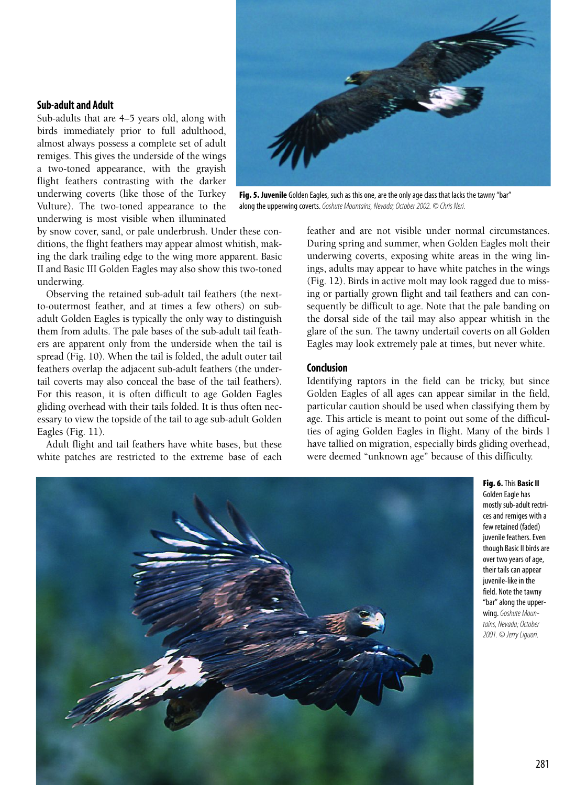#### **Sub-adult and Adult**

Sub-adults that are 4–5 years old, along with birds immediately prior to full adulthood, almost always possess a complete set of adult remiges. This gives the underside of the wings a two-toned appearance, with the grayish flight feathers contrasting with the darker underwing coverts (like those of the Turkey Vulture). The two-toned appearance to the underwing is most visible when illuminated

by snow cover, sand, or pale underbrush. Under these conditions, the flight feathers may appear almost whitish, making the dark trailing edge to the wing more apparent. Basic II and Basic III Golden Eagles may also show this two-toned underwing.

Observing the retained sub-adult tail feathers (the nextto-outermost feather, and at times a few others) on subadult Golden Eagles is typically the only way to distinguish them from adults. The pale bases of the sub-adult tail feathers are apparent only from the underside when the tail is spread (Fig. 10). When the tail is folded, the adult outer tail feathers overlap the adjacent sub-adult feathers (the undertail coverts may also conceal the base of the tail feathers). For this reason, it is often difficult to age Golden Eagles gliding overhead with their tails folded. It is thus often necessary to view the topside of the tail to age sub-adult Golden Eagles (Fig. 11).

Adult flight and tail feathers have white bases, but these white patches are restricted to the extreme base of each



**Fig. 5. Juvenile** Golden Eagles, such as this one, are the only age class that lacks the tawny "bar" along the upperwing coverts. *Goshute Mountains, Nevada; October 2002. © Chris Neri.*

feather and are not visible under normal circumstances. During spring and summer, when Golden Eagles molt their underwing coverts, exposing white areas in the wing linings, adults may appear to have white patches in the wings (Fig. 12). Birds in active molt may look ragged due to missing or partially grown flight and tail feathers and can consequently be difficult to age. Note that the pale banding on the dorsal side of the tail may also appear whitish in the glare of the sun. The tawny undertail coverts on all Golden Eagles may look extremely pale at times, but never white.

#### **Conclusion**

Identifying raptors in the field can be tricky, but since Golden Eagles of all ages can appear similar in the field, particular caution should be used when classifying them by age. This article is meant to point out some of the difficulties of aging Golden Eagles in flight. Many of the birds I have tallied on migration, especially birds gliding overhead, were deemed "unknown age" because of this difficulty.



**Fig. 6.**This **Basic II** Golden Eagle has mostly sub-adult rectrices and remiges with a few retained (faded) juvenile feathers. Even though Basic II birds are over two years of age, their tails can appear iuvenile-like in the field. Note the tawny "bar" along the upperwing. *Goshute Mountains, Nevada; October 2001. © Jerry Liguori.*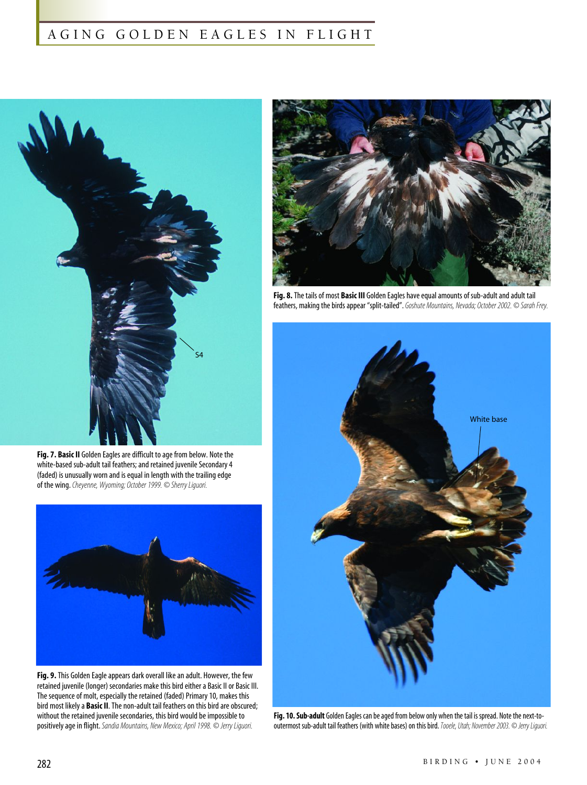#### AGING GOLDEN EAGLES IN FLIGHT



**Fig. 7. Basic II** Golden Eagles are difficult to age from below. Note the white-based sub-adult tail feathers; and retained juvenile Secondary 4 (faded) is unusually worn and is equal in length with the trailing edge of the wing. *Cheyenne, Wyoming; October 1999. © Sherry Liguori.* 



**Fig. 9.**This Golden Eagle appears dark overall like an adult. However, the few retained juvenile (longer) secondaries make this bird either a Basic II or Basic III. The sequence of molt, especially the retained (faded) Primary 10, makes this bird most likely a **Basic II**. The non-adult tail feathers on this bird are obscured; without the retained juvenile secondaries, this bird would be impossible to positively age in flight. *Sandia Mountains, New Mexico; April 1998. © Jerry Liguori.*



**Fig. 8.**The tails of most **Basic III** Golden Eagles have equal amounts of sub-adult and adult tail feathers, making the birds appear "split-tailed". *Goshute Mountains, Nevada; October 2002. © Sarah Frey.*



**Fig. 10. Sub-adult** Golden Eagles can be aged from below only when the tail is spread. Note the next-tooutermost sub-adult tail feathers (with white bases) on this bird.*Tooele, Utah; November 2003. © Jerry Liguori.*